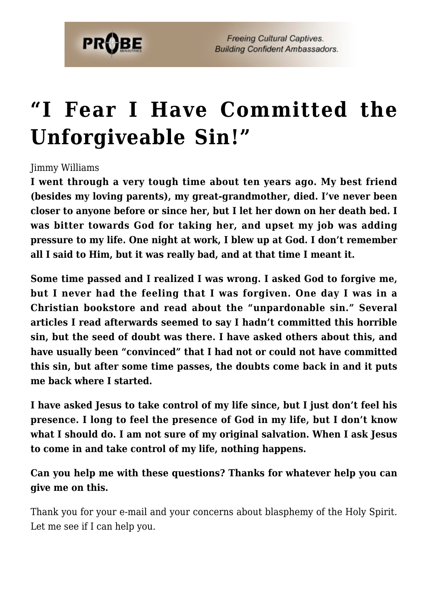

## **["I Fear I Have Committed the](https://probe.org/i-fear-i-have-committed-the-unforgiveable-sin/) [Unforgiveable Sin!"](https://probe.org/i-fear-i-have-committed-the-unforgiveable-sin/)**

## Jimmy Williams

**I went through a very tough time about ten years ago. My best friend (besides my loving parents), my great-grandmother, died. I've never been closer to anyone before or since her, but I let her down on her death bed. I was bitter towards God for taking her, and upset my job was adding pressure to my life. One night at work, I blew up at God. I don't remember all I said to Him, but it was really bad, and at that time I meant it.**

**Some time passed and I realized I was wrong. I asked God to forgive me, but I never had the feeling that I was forgiven. One day I was in a Christian bookstore and read about the "unpardonable sin." Several articles I read afterwards seemed to say I hadn't committed this horrible sin, but the seed of doubt was there. I have asked others about this, and have usually been "convinced" that I had not or could not have committed this sin, but after some time passes, the doubts come back in and it puts me back where I started.**

**I have asked Jesus to take control of my life since, but I just don't feel his presence. I long to feel the presence of God in my life, but I don't know what I should do. I am not sure of my original salvation. When I ask Jesus to come in and take control of my life, nothing happens.**

**Can you help me with these questions? Thanks for whatever help you can give me on this.**

Thank you for your e-mail and your concerns about blasphemy of the Holy Spirit. Let me see if I can help you.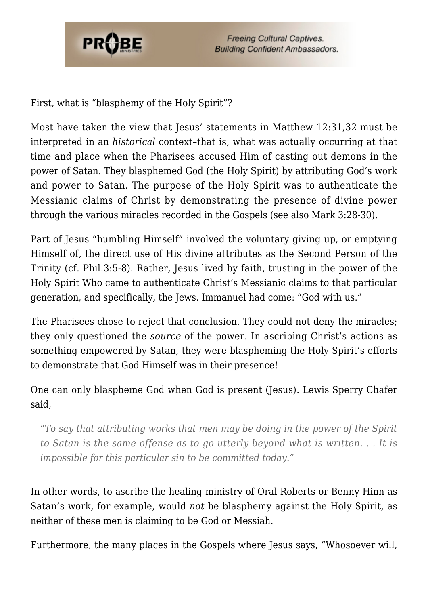

First, what is "blasphemy of the Holy Spirit"?

Most have taken the view that Jesus' statements in Matthew 12:31,32 must be interpreted in an *historical* context–that is, what was actually occurring at that time and place when the Pharisees accused Him of casting out demons in the power of Satan. They blasphemed God (the Holy Spirit) by attributing God's work and power to Satan. The purpose of the Holy Spirit was to authenticate the Messianic claims of Christ by demonstrating the presence of divine power through the various miracles recorded in the Gospels (see also Mark 3:28-30).

Part of Jesus "humbling Himself" involved the voluntary giving up, or emptying Himself of, the direct use of His divine attributes as the Second Person of the Trinity (cf. Phil.3:5-8). Rather, Jesus lived by faith, trusting in the power of the Holy Spirit Who came to authenticate Christ's Messianic claims to that particular generation, and specifically, the Jews. Immanuel had come: "God with us."

The Pharisees chose to reject that conclusion. They could not deny the miracles; they only questioned the *source* of the power. In ascribing Christ's actions as something empowered by Satan, they were blaspheming the Holy Spirit's efforts to demonstrate that God Himself was in their presence!

One can only blaspheme God when God is present (Jesus). Lewis Sperry Chafer said,

*"To say that attributing works that men may be doing in the power of the Spirit to Satan is the same offense as to go utterly beyond what is written. . . It is impossible for this particular sin to be committed today."*

In other words, to ascribe the healing ministry of Oral Roberts or Benny Hinn as Satan's work, for example, would *not* be blasphemy against the Holy Spirit, as neither of these men is claiming to be God or Messiah.

Furthermore, the many places in the Gospels where Jesus says, "Whosoever will,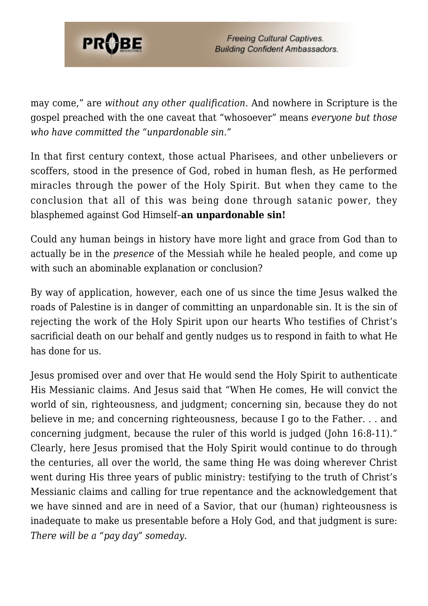

may come," are *without any other qualification.* And nowhere in Scripture is the gospel preached with the one caveat that "whosoever" means *everyone but those who have committed the "unpardonable sin."*

In that first century context, those actual Pharisees, and other unbelievers or scoffers, stood in the presence of God, robed in human flesh, as He performed miracles through the power of the Holy Spirit. But when they came to the conclusion that all of this was being done through satanic power, they blasphemed against God Himself–**an unpardonable sin!**

Could any human beings in history have more light and grace from God than to actually be in the *presence* of the Messiah while he healed people, and come up with such an abominable explanation or conclusion?

By way of application, however, each one of us since the time Jesus walked the roads of Palestine is in danger of committing an unpardonable sin. It is the sin of rejecting the work of the Holy Spirit upon our hearts Who testifies of Christ's sacrificial death on our behalf and gently nudges us to respond in faith to what He has done for us.

Jesus promised over and over that He would send the Holy Spirit to authenticate His Messianic claims. And Jesus said that "When He comes, He will convict the world of sin, righteousness, and judgment; concerning sin, because they do not believe in me; and concerning righteousness, because I go to the Father. . . and concerning judgment, because the ruler of this world is judged (John 16:8-11)." Clearly, here Jesus promised that the Holy Spirit would continue to do through the centuries, all over the world, the same thing He was doing wherever Christ went during His three years of public ministry: testifying to the truth of Christ's Messianic claims and calling for true repentance and the acknowledgement that we have sinned and are in need of a Savior, that our (human) righteousness is inadequate to make us presentable before a Holy God, and that judgment is sure: *There will be a "pay day" someday.*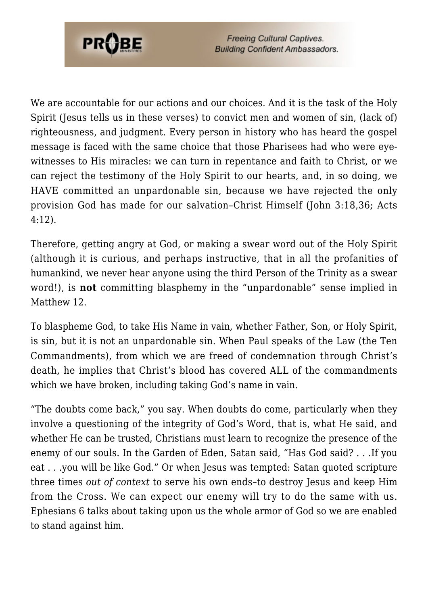

**Freeing Cultural Captives. Building Confident Ambassadors.** 

We are accountable for our actions and our choices. And it is the task of the Holy Spirit (Jesus tells us in these verses) to convict men and women of sin, (lack of) righteousness, and judgment. Every person in history who has heard the gospel message is faced with the same choice that those Pharisees had who were eyewitnesses to His miracles: we can turn in repentance and faith to Christ, or we can reject the testimony of the Holy Spirit to our hearts, and, in so doing, we HAVE committed an unpardonable sin, because we have rejected the only provision God has made for our salvation–Christ Himself (John 3:18,36; Acts 4:12).

Therefore, getting angry at God, or making a swear word out of the Holy Spirit (although it is curious, and perhaps instructive, that in all the profanities of humankind, we never hear anyone using the third Person of the Trinity as a swear word!), is **not** committing blasphemy in the "unpardonable" sense implied in Matthew 12.

To blaspheme God, to take His Name in vain, whether Father, Son, or Holy Spirit, is sin, but it is not an unpardonable sin. When Paul speaks of the Law (the Ten Commandments), from which we are freed of condemnation through Christ's death, he implies that Christ's blood has covered ALL of the commandments which we have broken, including taking God's name in vain.

"The doubts come back," you say. When doubts do come, particularly when they involve a questioning of the integrity of God's Word, that is, what He said, and whether He can be trusted, Christians must learn to recognize the presence of the enemy of our souls. In the Garden of Eden, Satan said, "Has God said? . . .If you eat . . .you will be like God." Or when Jesus was tempted: Satan quoted scripture three times *out of context* to serve his own ends–to destroy Jesus and keep Him from the Cross. We can expect our enemy will try to do the same with us. Ephesians 6 talks about taking upon us the whole armor of God so we are enabled to stand against him.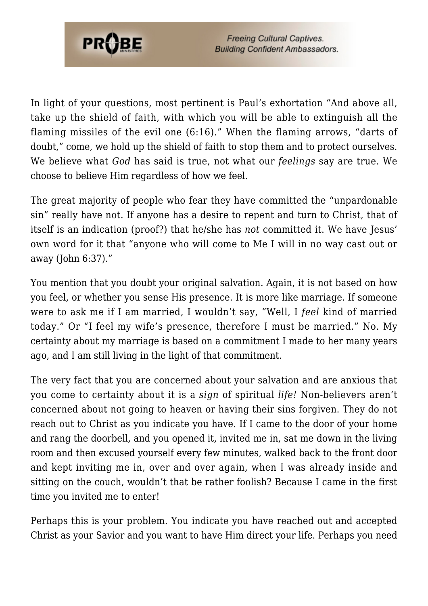

In light of your questions, most pertinent is Paul's exhortation "And above all, take up the shield of faith, with which you will be able to extinguish all the flaming missiles of the evil one (6:16)." When the flaming arrows, "darts of doubt," come, we hold up the shield of faith to stop them and to protect ourselves. We believe what *God* has said is true, not what our *feelings* say are true. We choose to believe Him regardless of how we feel.

The great majority of people who fear they have committed the "unpardonable sin" really have not. If anyone has a desire to repent and turn to Christ, that of itself is an indication (proof?) that he/she has *not* committed it. We have Jesus' own word for it that "anyone who will come to Me I will in no way cast out or away (John 6:37)."

You mention that you doubt your original salvation. Again, it is not based on how you feel, or whether you sense His presence. It is more like marriage. If someone were to ask me if I am married, I wouldn't say, "Well, I *feel* kind of married today." Or "I feel my wife's presence, therefore I must be married." No. My certainty about my marriage is based on a commitment I made to her many years ago, and I am still living in the light of that commitment.

The very fact that you are concerned about your salvation and are anxious that you come to certainty about it is a *sign* of spiritual *life!* Non-believers aren't concerned about not going to heaven or having their sins forgiven. They do not reach out to Christ as you indicate you have. If I came to the door of your home and rang the doorbell, and you opened it, invited me in, sat me down in the living room and then excused yourself every few minutes, walked back to the front door and kept inviting me in, over and over again, when I was already inside and sitting on the couch, wouldn't that be rather foolish? Because I came in the first time you invited me to enter!

Perhaps this is your problem. You indicate you have reached out and accepted Christ as your Savior and you want to have Him direct your life. Perhaps you need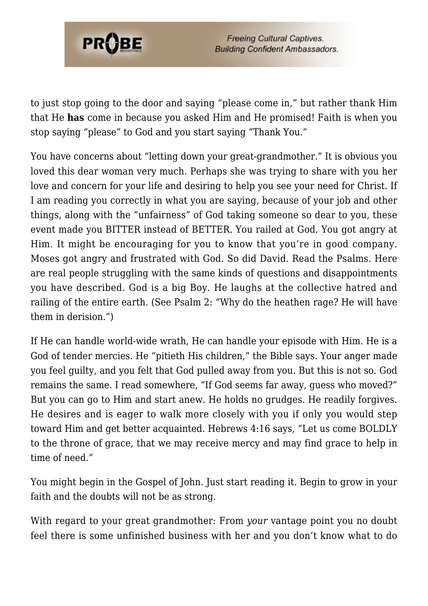

**Freeing Cultural Captives. Building Confident Ambassadors.** 

to just stop going to the door and saying "please come in," but rather thank Him that He **has** come in because you asked Him and He promised! Faith is when you stop saying "please" to God and you start saying "Thank You."

You have concerns about "letting down your great-grandmother." It is obvious you loved this dear woman very much. Perhaps she was trying to share with you her love and concern for your life and desiring to help you see your need for Christ. If I am reading you correctly in what you are saying, because of your job and other things, along with the "unfairness" of God taking someone so dear to you, these event made you BITTER instead of BETTER. You railed at God. You got angry at Him. It might be encouraging for you to know that you're in good company. Moses got angry and frustrated with God. So did David. Read the Psalms. Here are real people struggling with the same kinds of questions and disappointments you have described. God is a big Boy. He laughs at the collective hatred and railing of the entire earth. (See Psalm 2: "Why do the heathen rage? He will have them in derision.")

If He can handle world-wide wrath, He can handle your episode with Him. He is a God of tender mercies. He "pitieth His children," the Bible says. Your anger made you feel guilty, and you felt that God pulled away from you. But this is not so. God remains the same. I read somewhere, "If God seems far away, guess who moved?" But you can go to Him and start anew. He holds no grudges. He readily forgives. He desires and is eager to walk more closely with you if only you would step toward Him and get better acquainted. Hebrews 4:16 says, "Let us come BOLDLY to the throne of grace, that we may receive mercy and may find grace to help in time of need."

You might begin in the Gospel of John. Just start reading it. Begin to grow in your faith and the doubts will not be as strong.

With regard to your great grandmother: From *your* vantage point you no doubt feel there is some unfinished business with her and you don't know what to do